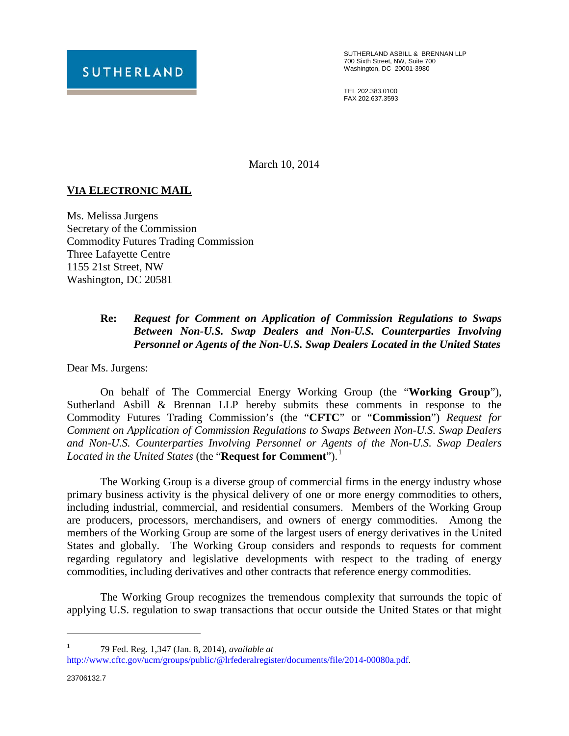

SUTHERLAND ASBILL & BRENNAN LLP 700 Sixth Street, NW, Suite 700 Washington, DC 20001-3980

TEL 202.383.0100 FAX 202.637.3593

March 10, 2014

## **VIA ELECTRONIC MAIL**

Ms. Melissa Jurgens Secretary of the Commission Commodity Futures Trading Commission Three Lafayette Centre 1155 21st Street, NW Washington, DC 20581

## **Re:** *Request for Comment on Application of Commission Regulations to Swaps Between Non-U.S. Swap Dealers and Non-U.S. Counterparties Involving Personnel or Agents of the Non-U.S. Swap Dealers Located in the United States*

Dear Ms. Jurgens:

On behalf of The Commercial Energy Working Group (the "**Working Group**"), Sutherland Asbill & Brennan LLP hereby submits these comments in response to the Commodity Futures Trading Commission's (the "**CFTC**" or "**Commission**") *Request for Comment on Application of Commission Regulations to Swaps Between Non-U.S. Swap Dealers and Non-U.S. Counterparties Involving Personnel or Agents of the Non-U.S. Swap Dealers*  Located in the United States (the "**Request for Comment**").<sup>[1](#page-0-0)</sup>

The Working Group is a diverse group of commercial firms in the energy industry whose primary business activity is the physical delivery of one or more energy commodities to others, including industrial, commercial, and residential consumers. Members of the Working Group are producers, processors, merchandisers, and owners of energy commodities. Among the members of the Working Group are some of the largest users of energy derivatives in the United States and globally. The Working Group considers and responds to requests for comment regarding regulatory and legislative developments with respect to the trading of energy commodities, including derivatives and other contracts that reference energy commodities.

The Working Group recognizes the tremendous complexity that surrounds the topic of applying U.S. regulation to swap transactions that occur outside the United States or that might

<sup>1</sup> 79 Fed. Reg. 1,347 (Jan. 8, 2014), *available at*

 $\overline{a}$ 

<span id="page-0-0"></span>[http://www.cftc.gov/ucm/groups/public/@lrfederalregister/documents/file/2014-00080a.pdf.](http://www.cftc.gov/ucm/groups/public/@lrfederalregister/documents/file/2014-00080a.pdf)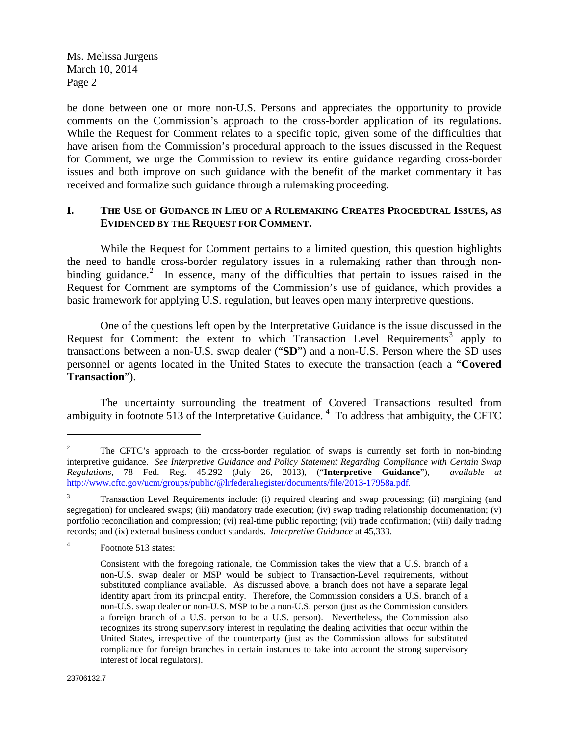Ms. Melissa Jurgens March 10, 2014 Page 2

be done between one or more non-U.S. Persons and appreciates the opportunity to provide comments on the Commission's approach to the cross-border application of its regulations. While the Request for Comment relates to a specific topic, given some of the difficulties that have arisen from the Commission's procedural approach to the issues discussed in the Request for Comment, we urge the Commission to review its entire guidance regarding cross-border issues and both improve on such guidance with the benefit of the market commentary it has received and formalize such guidance through a rulemaking proceeding.

## **I. THE USE OF GUIDANCE IN LIEU OF A RULEMAKING CREATES PROCEDURAL ISSUES, AS EVIDENCED BY THE REQUEST FOR COMMENT.**

While the Request for Comment pertains to a limited question, this question highlights the need to handle cross-border regulatory issues in a rulemaking rather than through non-binding guidance.<sup>[2](#page-1-0)</sup> In essence, many of the difficulties that pertain to issues raised in the Request for Comment are symptoms of the Commission's use of guidance, which provides a basic framework for applying U.S. regulation, but leaves open many interpretive questions.

One of the questions left open by the Interpretative Guidance is the issue discussed in the Request for Comment: the extent to which Transaction Level Requirements<sup>[3](#page-1-1)</sup> apply to transactions between a non-U.S. swap dealer ("**SD**") and a non-U.S. Person where the SD uses personnel or agents located in the United States to execute the transaction (each a "**Covered Transaction**").

The uncertainty surrounding the treatment of Covered Transactions resulted from ambiguity in footnote 513 of the Interpretative Guidance.<sup>[4](#page-1-2)</sup> To address that ambiguity, the CFTC

 $\overline{a}$ 

<span id="page-1-0"></span><sup>&</sup>lt;sup>2</sup> The CFTC's approach to the cross-border regulation of swaps is currently set forth in non-binding interpretive guidance. *See Interpretive Guidance and Policy Statement Regarding Compliance with Certain Swap Regulations*, 78 Fed. Reg. 45,292 (July 26, 2013), ("**Interpretive Guidance**"), *available at* [http://www.cftc.gov/ucm/groups/public/@lrfederalregister/documents/file/2013-17958a.pdf.](http://www.cftc.gov/ucm/groups/public/@lrfederalregister/documents/file/2013-17958a.pdf)

<span id="page-1-1"></span><sup>&</sup>lt;sup>3</sup> Transaction Level Requirements include: (i) required clearing and swap processing; (ii) margining (and segregation) for uncleared swaps; (iii) mandatory trade execution; (iv) swap trading relationship documentation; (v) portfolio reconciliation and compression; (vi) real-time public reporting; (vii) trade confirmation; (viii) daily trading records; and (ix) external business conduct standards. *Interpretive Guidance* at 45,333.

<span id="page-1-2"></span><sup>4</sup> Footnote 513 states:

Consistent with the foregoing rationale, the Commission takes the view that a U.S. branch of a non-U.S. swap dealer or MSP would be subject to Transaction-Level requirements, without substituted compliance available. As discussed above, a branch does not have a separate legal identity apart from its principal entity. Therefore, the Commission considers a U.S. branch of a non-U.S. swap dealer or non-U.S. MSP to be a non-U.S. person (just as the Commission considers a foreign branch of a U.S. person to be a U.S. person). Nevertheless, the Commission also recognizes its strong supervisory interest in regulating the dealing activities that occur within the United States, irrespective of the counterparty (just as the Commission allows for substituted compliance for foreign branches in certain instances to take into account the strong supervisory interest of local regulators).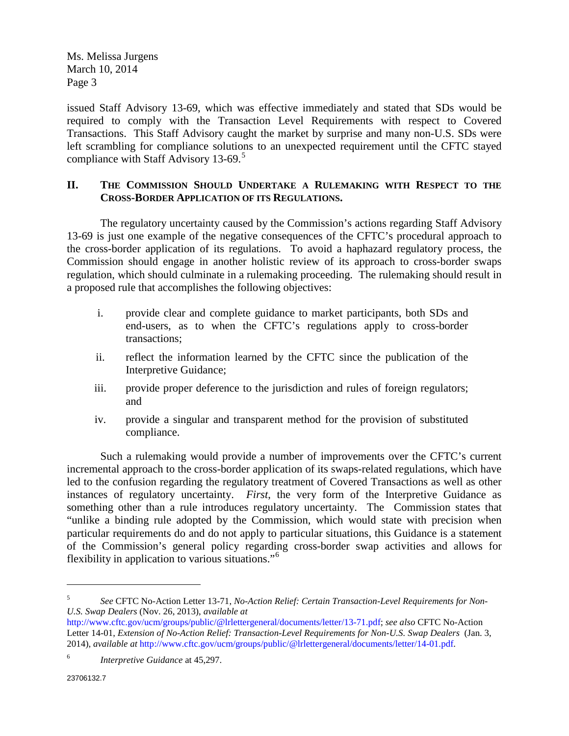Ms. Melissa Jurgens March 10, 2014 Page 3

issued Staff Advisory 13-69, which was effective immediately and stated that SDs would be required to comply with the Transaction Level Requirements with respect to Covered Transactions. This Staff Advisory caught the market by surprise and many non-U.S. SDs were left scrambling for compliance solutions to an unexpected requirement until the CFTC stayed compliance with Staff Advisory 13-69.<sup>[5](#page-2-0)</sup>

## **II. THE COMMISSION SHOULD UNDERTAKE A RULEMAKING WITH RESPECT TO THE CROSS-BORDER APPLICATION OF ITS REGULATIONS.**

The regulatory uncertainty caused by the Commission's actions regarding Staff Advisory 13-69 is just one example of the negative consequences of the CFTC's procedural approach to the cross-border application of its regulations. To avoid a haphazard regulatory process, the Commission should engage in another holistic review of its approach to cross-border swaps regulation, which should culminate in a rulemaking proceeding. The rulemaking should result in a proposed rule that accomplishes the following objectives:

- i. provide clear and complete guidance to market participants, both SDs and end-users, as to when the CFTC's regulations apply to cross-border transactions;
- ii. reflect the information learned by the CFTC since the publication of the Interpretive Guidance;
- iii. provide proper deference to the jurisdiction and rules of foreign regulators; and
- iv. provide a singular and transparent method for the provision of substituted compliance.

Such a rulemaking would provide a number of improvements over the CFTC's current incremental approach to the cross-border application of its swaps-related regulations, which have led to the confusion regarding the regulatory treatment of Covered Transactions as well as other instances of regulatory uncertainty. *First*, the very form of the Interpretive Guidance as something other than a rule introduces regulatory uncertainty. The Commission states that "unlike a binding rule adopted by the Commission, which would state with precision when particular requirements do and do not apply to particular situations, this Guidance is a statement of the Commission's general policy regarding cross-border swap activities and allows for flexibility in application to various situations."[6](#page-2-1)

 $\overline{a}$ 

<span id="page-2-0"></span><sup>5</sup> *See* CFTC No-Action Letter 13-71, *No-Action Relief: Certain Transaction-Level Requirements for Non-U.S. Swap Dealers* (Nov. 26, 2013), *available at*

[http://www.cftc.gov/ucm/groups/public/@lrlettergeneral/documents/letter/13-71.pdf;](http://www.cftc.gov/ucm/groups/public/@lrlettergeneral/documents/letter/13-71.pdf) *see also* CFTC No-Action Letter 14-01, *Extension of No-Action Relief: Transaction-Level Requirements for Non-U.S. Swap Dealers* (Jan. 3, 2014), *available at* [http://www.cftc.gov/ucm/groups/public/@lrlettergeneral/documents/letter/14-01.pdf.](http://www.cftc.gov/ucm/groups/public/@lrlettergeneral/documents/letter/14-01.pdf)

<span id="page-2-1"></span><sup>6</sup> *Interpretive Guidance* at 45,297.